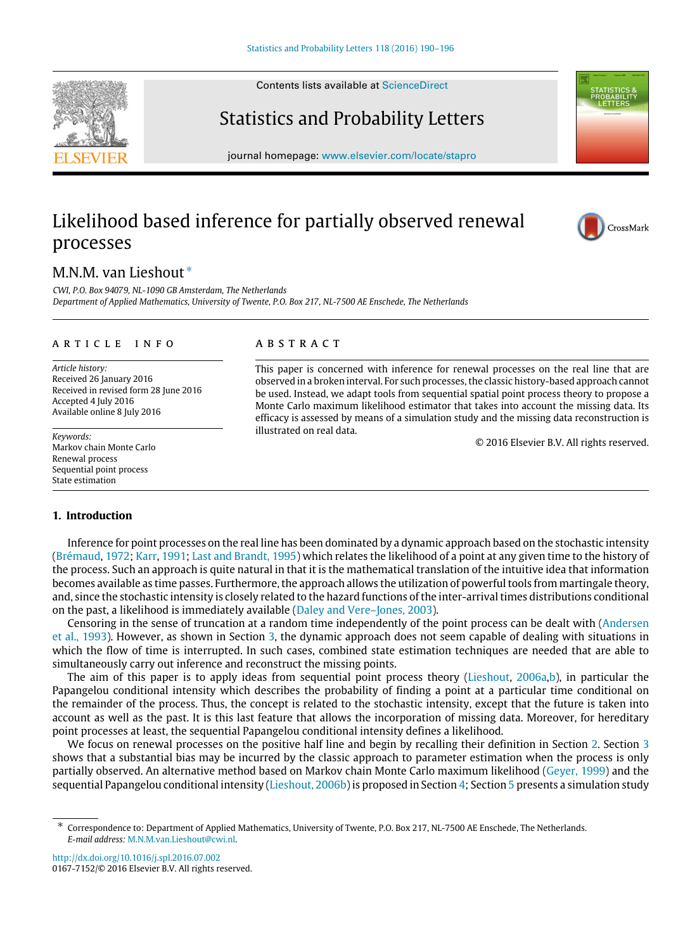Contents lists available at [ScienceDirect](http://www.elsevier.com/locate/stapro)

# Statistics and Probability Letters

journal homepage: [www.elsevier.com/locate/stapro](http://www.elsevier.com/locate/stapro)

# Likelihood based inference for partially observed renewal processes

# M.N.M. van Lieshout [∗](#page-0-0)

*CWI, P.O. Box 94079, NL-1090 GB Amsterdam, The Netherlands Department of Applied Mathematics, University of Twente, P.O. Box 217, NL-7500 AE Enschede, The Netherlands*

#### a r t i c l e i n f o

*Article history:* Received 26 January 2016 Received in revised form 28 June 2016 Accepted 4 July 2016 Available online 8 July 2016

*Keywords:* Markov chain Monte Carlo Renewal process Sequential point process State estimation

## A B S T R A C T

This paper is concerned with inference for renewal processes on the real line that are observed in a broken interval. For such processes, the classic history-based approach cannot be used. Instead, we adapt tools from sequential spatial point process theory to propose a Monte Carlo maximum likelihood estimator that takes into account the missing data. Its efficacy is assessed by means of a simulation study and the missing data reconstruction is illustrated on real data.

© 2016 Elsevier B.V. All rights reserved.

### **1. Introduction**

Inference for point processes on the real line has been dominated by a dynamic approach based on the stochastic intensity [\(Brémaud,](#page-5-0) [1972;](#page-5-0) [Karr,](#page-6-0) [1991;](#page-6-0) [Last](#page-6-1) [and](#page-6-1) [Brandt,](#page-6-1) [1995\)](#page-6-1) which relates the likelihood of a point at any given time to the history of the process. Such an approach is quite natural in that it is the mathematical translation of the intuitive idea that information becomes available as time passes. Furthermore, the approach allows the utilization of powerful tools from martingale theory, and, since the stochastic intensity is closely related to the hazard functions of the inter-arrival times distributions conditional on the past, a likelihood is immediately available [\(Daley](#page-5-1) [and](#page-5-1) [Vere–Jones,](#page-5-1) [2003\)](#page-5-1).

Censoring in the sense of truncation at a random time independently of the point process can be dealt with [\(Andersen](#page-5-2) [et al.,](#page-5-2) [1993\)](#page-5-2). However, as shown in Section [3,](#page-2-0) the dynamic approach does not seem capable of dealing with situations in which the flow of time is interrupted. In such cases, combined state estimation techniques are needed that are able to simultaneously carry out inference and reconstruct the missing points.

The aim of this paper is to apply ideas from sequential point process theory [\(Lieshout,](#page-6-2) [2006a,b\)](#page-6-2), in particular the Papangelou conditional intensity which describes the probability of finding a point at a particular time conditional on the remainder of the process. Thus, the concept is related to the stochastic intensity, except that the future is taken into account as well as the past. It is this last feature that allows the incorporation of missing data. Moreover, for hereditary point processes at least, the sequential Papangelou conditional intensity defines a likelihood.

We focus on renewal processes on the positive half line and begin by recalling their definition in Section [2.](#page-1-0) Section [3](#page-2-0) shows that a substantial bias may be incurred by the classic approach to parameter estimation when the process is only partially observed. An alternative method based on Markov chain Monte Carlo maximum likelihood [\(Geyer,](#page-6-3) [1999\)](#page-6-3) and the sequential Papangelou conditional intensity [\(Lieshout,](#page-6-4) [2006b\)](#page-6-4) is proposed in Section [4;](#page-3-0) Section [5](#page-4-0) presents a simulation study

<http://dx.doi.org/10.1016/j.spl.2016.07.002> 0167-7152/© 2016 Elsevier B.V. All rights reserved.





CrossMark

<span id="page-0-0"></span><sup>∗</sup> Correspondence to: Department of Applied Mathematics, University of Twente, P.O. Box 217, NL-7500 AE Enschede, The Netherlands. *E-mail address:* [M.N.M.van.Lieshout@cwi.nl.](mailto:M.N.M.van.Lieshout@cwi.nl)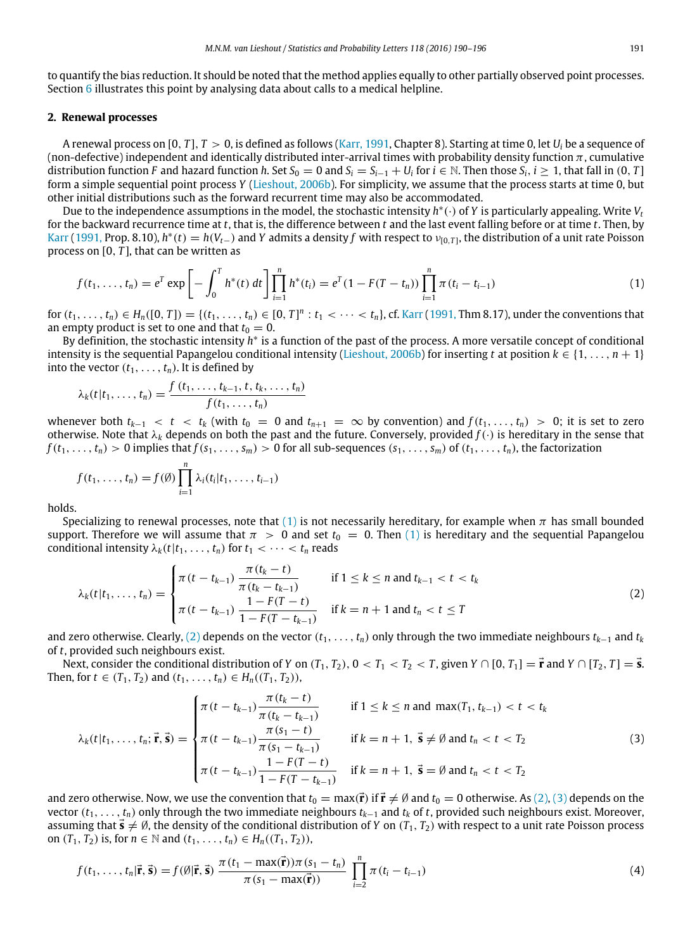to quantify the bias reduction. It should be noted that the method applies equally to other partially observed point processes. Section [6](#page-4-1) illustrates this point by analysing data about calls to a medical helpline.

#### <span id="page-1-0"></span>**2. Renewal processes**

A renewal process on [0, *T*],  $T > 0$ , is defined as follows [\(Karr,](#page-6-0) [1991,](#page-6-0) Chapter 8). Starting at time 0, let  $U_i$  be a sequence of (non-defective) independent and identically distributed inter-arrival times with probability density function  $\pi$ , cumulative distribution function F and hazard function h. Set  $S_0=0$  and  $S_i=S_{i-1}+U_i$  for  $i\in\mathbb{N}$ . Then those  $S_i, i\geq 1$ , that fall in  $(0, T]$ form a simple sequential point process *Y* [\(Lieshout,](#page-6-4) [2006b\)](#page-6-4). For simplicity, we assume that the process starts at time 0, but other initial distributions such as the forward recurrent time may also be accommodated.

Due to the independence assumptions in the model, the stochastic intensity *h* ∗ (·) of *Y* is particularly appealing. Write *V<sup>t</sup>* for the backward recurrence time at *t*, that is, the difference between *t* and the last event falling before or at time *t*. Then, by [Karr](#page-6-0) [\(1991,](#page-6-0) Prop. 8.10),  $h^*(t) = h(V_{t-})$  and Y admits a density f with respect to  $v_{[0,T]}$ , the distribution of a unit rate Poisson process on [0, *T* ], that can be written as

<span id="page-1-1"></span>
$$
f(t_1,\ldots,t_n)=e^T\exp\left[-\int_0^T h^*(t)\,dt\right]\prod_{i=1}^n h^*(t_i)=e^T(1-F(T-t_n))\prod_{i=1}^n \pi(t_i-t_{i-1})\tag{1}
$$

for  $(t_1, ..., t_n) \in H_n([0, T]) = \{(t_1, ..., t_n) \in [0, T]^n : t_1 < \cdots < t_n\}$ , cf. [Karr](#page-6-0) [\(1991,](#page-6-0) Thm 8.17), under the conventions that an empty product is set to one and that  $t_0 = 0$ .

By definition, the stochastic intensity *h*<sup>\*</sup> is a function of the past of the process. A more versatile concept of conditional intensity is the sequential Papangelou conditional intensity [\(Lieshout,](#page-6-4) [2006b\)](#page-6-4) for inserting *t* at position  $k \in \{1, \ldots, n+1\}$ into the vector  $(t_1, \ldots, t_n)$ . It is defined by

$$
\lambda_k(t|t_1,\ldots,t_n) = \frac{f(t_1,\ldots,t_{k-1},t,t_k,\ldots,t_n)}{f(t_1,\ldots,t_n)}
$$

whenever both  $t_{k-1} < t < t_k$  (with  $t_0 = 0$  and  $t_{n+1} = \infty$  by convention) and  $f(t_1, \ldots, t_n) > 0$ ; it is set to zero otherwise. Note that  $\lambda_k$  depends on both the past and the future. Conversely, provided  $f(\cdot)$  is hereditary in the sense that  $f(t_1,\ldots,t_n) > 0$  implies that  $f(s_1,\ldots,s_m) > 0$  for all sub-sequences  $(s_1,\ldots,s_m)$  of  $(t_1,\ldots,t_n)$ , the factorization

$$
f(t_1,..., t_n) = f(\emptyset) \prod_{i=1}^n \lambda_i(t_i|t_1,..., t_{i-1})
$$

holds.

Specializing to renewal processes, note that [\(1\)](#page-1-1) is not necessarily hereditary, for example when  $\pi$  has small bounded support. Therefore we will assume that  $\pi > 0$  and set  $t_0 = 0$ . Then [\(1\)](#page-1-1) is hereditary and the sequential Papangelou conditional intensity  $\lambda_k(t|t_1,\ldots,t_n)$  for  $t_1 < \cdots < t_n$  reads

<span id="page-1-2"></span>
$$
\lambda_k(t|t_1,\ldots,t_n) = \begin{cases}\n\pi(t-t_{k-1})\frac{\pi(t_k-t)}{\pi(t_k-t_{k-1})} & \text{if } 1 \le k \le n \text{ and } t_{k-1} < t < t_k \\
\pi(t-t_{k-1})\frac{1-F(T-t)}{1-F(T-t_{k-1})} & \text{if } k = n+1 \text{ and } t_n < t \le T\n\end{cases}
$$
\n(2)

and zero otherwise. Clearly, [\(2\)](#page-1-2) depends on the vector  $(t_1, \ldots, t_n)$  only through the two immediate neighbours  $t_{k-1}$  and  $t_k$ of *t*, provided such neighbours exist.

Next, consider the conditional distribution of *Y* on  $(T_1, T_2)$ ,  $0 < T_1 < T_2 < T$ , given  $Y \cap [0, T_1] = \vec{r}$  and  $Y \cap [T_2, T] = \vec{s}$ . Then, for *t* ∈ (*T*<sub>1</sub>, *T*<sub>2</sub>) and (*t*<sub>1</sub>, . . . , *t*<sub>*n*</sub>) ∈ *H*<sub>*n*</sub>((*T*<sub>1</sub>, *T*<sub>2</sub>)),

<span id="page-1-3"></span>
$$
\lambda_{k}(t|t_{1},...,t_{n};\vec{\mathbf{r}},\vec{\mathbf{s}}) = \begin{cases}\n\pi(t-t_{k-1})\frac{\pi(t_{k}-t)}{\pi(t_{k}-t_{k-1})} & \text{if } 1 \leq k \leq n \text{ and } \max(T_{1},t_{k-1}) < t < t_{k} \\
\pi(t-t_{k-1})\frac{\pi(s_{1}-t)}{\pi(s_{1}-t_{k-1})} & \text{if } k = n+1, \ \vec{\mathbf{s}} \neq \emptyset \text{ and } t_{n} < t < T_{2} \\
\pi(t-t_{k-1})\frac{1-F(T-t)}{1-F(T-t_{k-1})} & \text{if } k = n+1, \ \vec{\mathbf{s}} = \emptyset \text{ and } t_{n} < t < T_{2}\n\end{cases}
$$
\n(3)

and zero otherwise. Now, we use the convention that  $t_0 = \max(\vec{r})$  if  $\vec{r} \neq \emptyset$  and  $t_0 = 0$  otherwise. As [\(2\),](#page-1-2) [\(3\)](#page-1-3) depends on the vector (*t*1, . . . , *tn*) only through the two immediate neighbours *tk*−<sup>1</sup> and *t<sup>k</sup>* of *t*, provided such neighbours exist. Moreover, assuming that  $\vec{s} \neq \emptyset$ , the density of the conditional distribution of *Y* on  $(T_1, T_2)$  with respect to a unit rate Poisson process on (*T*<sub>1</sub>, *T*<sub>2</sub>) is, for *n* ∈ *N* and (*t*<sub>1</sub>, . . . , *t*<sub>*n*</sub>) ∈ *H*<sub>*n*</sub>((*T*<sub>1</sub>, *T*<sub>2</sub>)),

<span id="page-1-4"></span>
$$
f(t_1,\ldots,t_n|\vec{\mathbf{r}},\vec{\mathbf{s}})=f(\emptyset|\vec{\mathbf{r}},\vec{\mathbf{s}})\frac{\pi(t_1-\max(\vec{\mathbf{r}}))\pi(s_1-t_n)}{\pi(s_1-\max(\vec{\mathbf{r}}))}\prod_{i=2}^n\pi(t_i-t_{i-1})
$$
\n(4)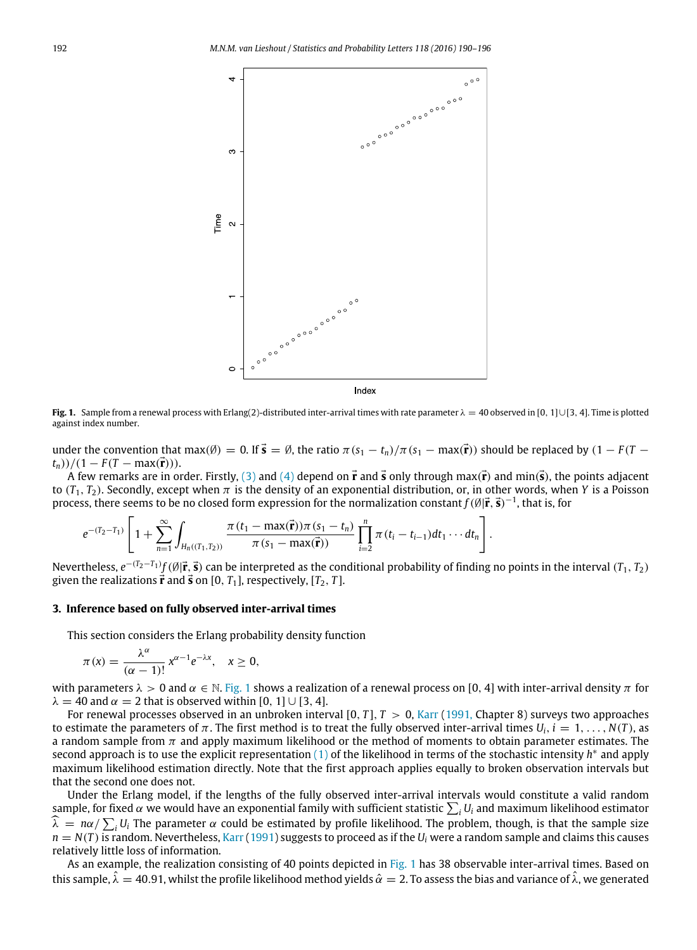<span id="page-2-1"></span>

**Fig. 1.** Sample from a renewal process with Erlang(2)-distributed inter-arrival times with rate parameter  $\lambda = 40$  observed in [0, 1]∪[3, 4]. Time is plotted against index number.

under the convention that max( $\emptyset$ ) = 0. If  $\vec{s} = \emptyset$ , the ratio  $\pi(s_1 - t_n)/\pi(s_1 - \max(\vec{r}))$  should be replaced by  $(1 - F(T - \vec{r}))$  $(t_n)$ )/(1 – *F*(*T* – max( $\vec{r}$ ))).

A few remarks are in order. Firstly, [\(3\)](#page-1-3) and [\(4\)](#page-1-4) depend on  $\vec{r}$  and  $\vec{s}$  only through max( $\vec{r}$ ) and min( $\vec{s}$ ), the points adjacent to  $(T_1, T_2)$ . Secondly, except when  $\pi$  is the density of an exponential distribution, or, in other words, when *Y* is a Poisson process, there seems to be no closed form expression for the normalization constant  $f(\emptyset|\vec{r},\vec{s})^{-1}$ , that is, for

$$
e^{-(T_2-T_1)}\left[1+\sum_{n=1}^{\infty}\int_{H_n((T_1,T_2))}\frac{\pi(t_1-\max(\vec{\mathbf{r}}))\pi(s_1-t_n)}{\pi(s_1-\max(\vec{\mathbf{r}}))}\prod_{i=2}^n\pi(t_i-t_{i-1})dt_1\cdots dt_n\right].
$$

Nevertheless, *e* −(*T*2−*T*1) *f*(∅|⃗**r**, ⃗**s**) can be interpreted as the conditional probability of finding no points in the interval (*T*1, *T*2) given the realizations  $\vec{r}$  and  $\vec{s}$  on [0,  $T_1$ ], respectively, [ $T_2$ ,  $T$ ].

#### <span id="page-2-0"></span>**3. Inference based on fully observed inter-arrival times**

This section considers the Erlang probability density function

$$
\pi(x) = \frac{\lambda^{\alpha}}{(\alpha - 1)!} x^{\alpha - 1} e^{-\lambda x}, \quad x \ge 0,
$$

with parameters  $\lambda > 0$  and  $\alpha \in \mathbb{N}$ . [Fig. 1](#page-2-1) shows a realization of a renewal process on [0, 4] with inter-arrival density  $\pi$  for  $\lambda = 40$  and  $\alpha = 2$  that is observed within [0, 1] ∪ [3, 4].

For renewal processes observed in an unbroken interval  $[0, T]$ ,  $T > 0$ , [Karr](#page-6-0) [\(1991,](#page-6-0) Chapter 8) surveys two approaches to estimate the parameters of π. The first method is to treat the fully observed inter-arrival times  $U_i$ ,  $i = 1, \ldots, N(T)$ , as a random sample from  $\pi$  and apply maximum likelihood or the method of moments to obtain parameter estimates. The second approach is to use the explicit representation [\(1\)](#page-1-1) of the likelihood in terms of the stochastic intensity *h*<sup>\*</sup> and apply maximum likelihood estimation directly. Note that the first approach applies equally to broken observation intervals but that the second one does not.

Under the Erlang model, if the lengths of the fully observed inter-arrival intervals would constitute a valid random sample, for fixed  $\alpha$  we would have an exponential family with sufficient statistic  $\sum_i U_i$  and maximum likelihood estimator  $\widehat{\lambda} = n\alpha / \sum_{i} U_i$  The parameter  $\alpha$  could be estimated by profile likelihood. The problem, though, is that the sample size  $n = N(T)$  is random. Nevertheless, [Karr](#page-6-0) [\(1991\)](#page-6-0) suggests to proceed as if the  $U_i$  were a random sample and claims this causes relatively little loss of information.

As an example, the realization consisting of 40 points depicted in [Fig. 1](#page-2-1) has 38 observable inter-arrival times. Based on this sample,  $\hat{\lambda} = 40.91$ , whilst the profile likelihood method yields  $\hat{\alpha} = 2$ . To assess the bias and variance of  $\hat{\lambda}$ , we generated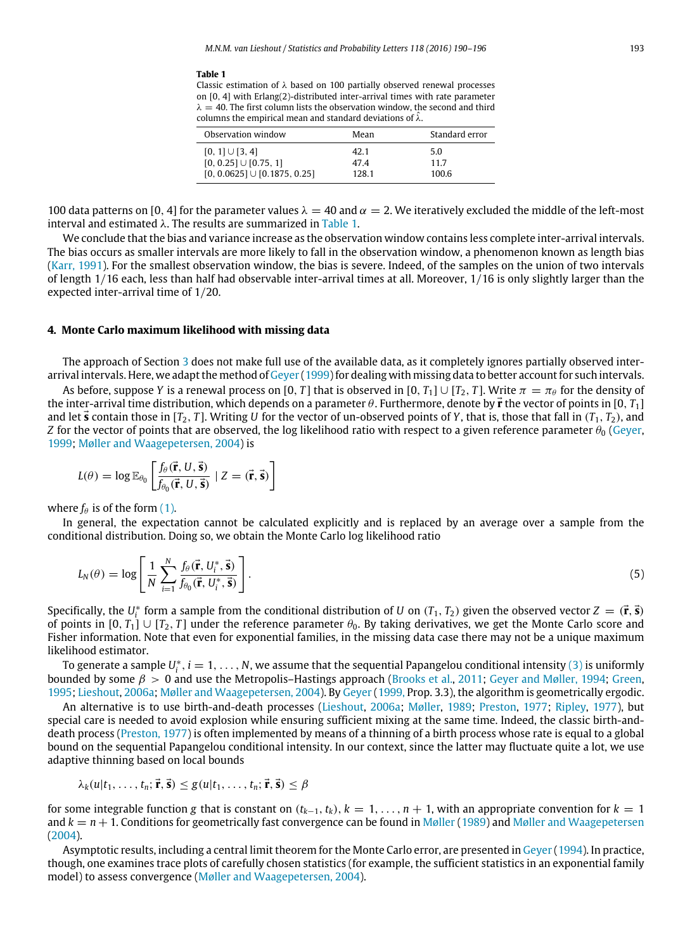#### <span id="page-3-1"></span>**Table 1**

Classic estimation of  $\lambda$  based on 100 partially observed renewal processes on [0, 4] with Erlang(2)-distributed inter-arrival times with rate parameter  $\lambda = 40$ . The first column lists the observation window, the second and third columns the empirical mean and standard deviations of  $\hat{\lambda}$ .

| Observation window                | Mean  | Standard error |
|-----------------------------------|-------|----------------|
| $[0, 1] \cup [3, 4]$              | 42.1  | 5.0            |
| $[0, 0.25] \cup [0.75, 1]$        | 474   | 11.7           |
| $[0, 0.0625] \cup [0.1875, 0.25]$ | 128.1 | 100.6          |

100 data patterns on [0, 4] for the parameter values  $\lambda = 40$  and  $\alpha = 2$ . We iteratively excluded the middle of the left-most interval and estimated  $\lambda$ . The results are summarized in [Table 1.](#page-3-1)

We conclude that the bias and variance increase as the observation window contains less complete inter-arrival intervals. The bias occurs as smaller intervals are more likely to fall in the observation window, a phenomenon known as length bias [\(Karr,](#page-6-0) [1991\)](#page-6-0). For the smallest observation window, the bias is severe. Indeed, of the samples on the union of two intervals of length 1/16 each, less than half had observable inter-arrival times at all. Moreover, 1/16 is only slightly larger than the expected inter-arrival time of 1/20.

#### <span id="page-3-0"></span>**4. Monte Carlo maximum likelihood with missing data**

The approach of Section [3](#page-2-0) does not make full use of the available data, as it completely ignores partially observed interarrival intervals. Here, we adapt the method of [Geyer](#page-6-3) [\(1999\)](#page-6-3) for dealing with missing data to better account for such intervals.

As before, suppose *Y* is a renewal process on [0, *T*] that is observed in [0, *T*<sub>1</sub>]  $\cup$  [*T*<sub>2</sub>, *T*]. Write  $\pi = \pi_\theta$  for the density of the inter-arrival time distribution, which depends on a parameter θ. Furthermore, denote by ⃗**r** the vector of points in [0, *T*1] and let  $\vec{s}$  contain those in  $[T_2, T]$ . Writing *U* for the vector of un-observed points of *Y*, that is, those that fall in  $(T_1, T_2)$ , and *Z* for the vector of points that are observed, the log likelihood ratio with respect to a given reference parameter  $\theta_0$  [\(Geyer,](#page-6-3) [1999;](#page-6-3) [Møller](#page-6-5) [and](#page-6-5) [Waagepetersen,](#page-6-5) [2004\)](#page-6-5) is

$$
L(\theta) = \log \mathbb{E}_{\theta_0} \left[ \frac{f_{\theta}(\vec{\mathbf{r}}, U, \vec{\mathbf{s}})}{f_{\theta_0}(\vec{\mathbf{r}}, U, \vec{\mathbf{s}})} \mid Z = (\vec{\mathbf{r}}, \vec{\mathbf{s}}) \right]
$$

where  $f_{\theta}$  is of the form [\(1\).](#page-1-1)

In general, the expectation cannot be calculated explicitly and is replaced by an average over a sample from the conditional distribution. Doing so, we obtain the Monte Carlo log likelihood ratio

<span id="page-3-2"></span>
$$
L_N(\theta) = \log \left[ \frac{1}{N} \sum_{i=1}^N \frac{f_\theta(\vec{\mathbf{r}}, U_i^*, \vec{\mathbf{s}})}{f_{\theta_0}(\vec{\mathbf{r}}, U_i^*, \vec{\mathbf{s}})} \right].
$$
\n(5)

Specifically, the  $U_i^*$  form a sample from the conditional distribution of *U* on  $(T_1, T_2)$  given the observed vector  $Z = (\vec{r}, \vec{s})$ of points in  $[0, T_1] \cup [T_2, T]$  under the reference parameter  $\theta_0$ . By taking derivatives, we get the Monte Carlo score and Fisher information. Note that even for exponential families, in the missing data case there may not be a unique maximum likelihood estimator.

To generate a sample  $U^*_i$  ,  $i=1,\ldots,N$ , we assume that the sequential Papangelou conditional intensity [\(3\)](#page-1-3) is uniformly bounded by some  $\beta > 0$  and use the Metropolis–Hastings approach [\(Brooks](#page-5-3) [et al.,](#page-5-3) [2011;](#page-5-3) [Geyer](#page-6-6) [and](#page-6-6) [Møller,](#page-6-6) [1994;](#page-6-6) [Green,](#page-6-7) [1995;](#page-6-7) [Lieshout,](#page-6-2) [2006a;](#page-6-2) [Møller](#page-6-5) [and](#page-6-5) [Waagepetersen,](#page-6-5) [2004\)](#page-6-5). By [Geyer](#page-6-3) [\(1999,](#page-6-3) Prop. 3.3), the algorithm is geometrically ergodic.

An alternative is to use birth-and-death processes [\(Lieshout,](#page-6-2) [2006a;](#page-6-2) [Møller,](#page-6-8) [1989;](#page-6-8) [Preston,](#page-6-9) [1977;](#page-6-9) [Ripley,](#page-6-10) [1977\)](#page-6-10), but special care is needed to avoid explosion while ensuring sufficient mixing at the same time. Indeed, the classic birth-anddeath process [\(Preston,](#page-6-9) [1977\)](#page-6-9) is often implemented by means of a thinning of a birth process whose rate is equal to a global bound on the sequential Papangelou conditional intensity. In our context, since the latter may fluctuate quite a lot, we use adaptive thinning based on local bounds

$$
\lambda_k(u|t_1,\ldots,t_n;\vec{\mathbf{r}},\vec{\mathbf{s}})\leq g(u|t_1,\ldots,t_n;\vec{\mathbf{r}},\vec{\mathbf{s}})\leq \beta
$$

for some integrable function *g* that is constant on  $(t_{k-1}, t_k)$ ,  $k = 1, \ldots, n+1$ , with an appropriate convention for  $k = 1$ [and](#page-6-5)  $k = n + 1$ . Conditions for geometrically fast convergence can be found in [Møller](#page-6-5) [\(1989\)](#page-6-8) and Møller and [Waagepetersen](#page-6-5) [\(2004\)](#page-6-5).

Asymptotic results, including a central limit theorem for the Monte Carlo error, are presented in [Geyer](#page-6-11) [\(1994\)](#page-6-11). In practice, though, one examines trace plots of carefully chosen statistics (for example, the sufficient statistics in an exponential family model) to assess convergence [\(Møller](#page-6-5) [and](#page-6-5) [Waagepetersen,](#page-6-5) [2004\)](#page-6-5).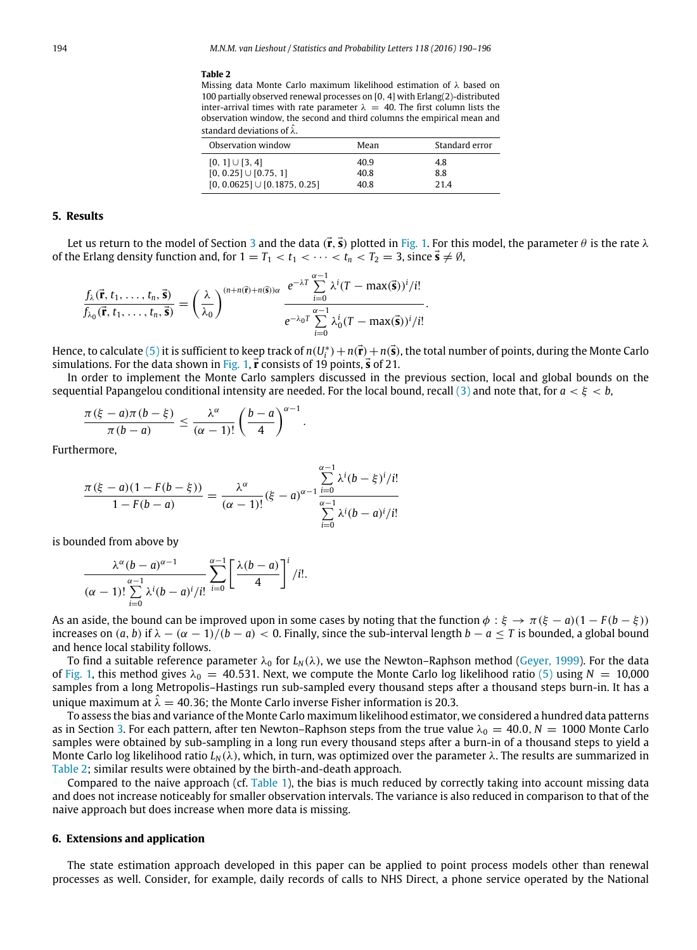#### <span id="page-4-2"></span>**Table 2**

Missing data Monte Carlo maximum likelihood estimation of λ based on 100 partially observed renewal processes on [0, 4] with Erlang(2)-distributed inter-arrival times with rate parameter  $\lambda = 40$ . The first column lists the observation window, the second and third columns the empirical mean and standard deviations of  $\hat{\lambda}$ .

| Observation window                | Mean | Standard error |
|-----------------------------------|------|----------------|
| $[0, 1] \cup [3, 4]$              | 40.9 | 4.8            |
| $[0, 0.25] \cup [0.75, 1]$        | 40.8 | 8.8            |
| $[0, 0.0625] \cup [0.1875, 0.25]$ | 40.8 | 214            |

### <span id="page-4-0"></span>**5. Results**

Let us return to the model of Section [3](#page-2-0) and the data  $(\vec{r}, \vec{s})$  plotted in [Fig. 1.](#page-2-1) For this model, the parameter  $\theta$  is the rate  $\lambda$ of the Erlang density function and, for  $1 = T_1 < t_1 < \cdots < t_n < T_2 = 3$ , since  $\vec{s} \neq \emptyset$ ,

$$
\frac{f_{\lambda}(\vec{r},t_1,\ldots,t_n,\vec{s})}{f_{\lambda_0}(\vec{r},t_1,\ldots,t_n,\vec{s})}=\left(\frac{\lambda}{\lambda_0}\right)^{(n+n(\vec{r})+n(\vec{s}))\alpha}\frac{e^{-\lambda T}\sum\limits_{i=0}^{\alpha-1}\lambda^i(T-\max(\vec{s}))^i/i!}{e^{-\lambda_0 T}\sum\limits_{i=0}^{\alpha-1}\lambda_0^i(T-\max(\vec{s}))^i/i!}.
$$

Hence, to calculate [\(5\)](#page-3-2) it is sufficient to keep track of  $n(U^*_i)+n(\vec{\bf r})+n(\vec{\bf s})$ , the total number of points, during the Monte Carlo simulations. For the data shown in [Fig. 1,](#page-2-1)  $\vec{r}$  consists of 19 points,  $\vec{s}$  of 21.

In order to implement the Monte Carlo samplers discussed in the previous section, local and global bounds on the sequential Papangelou conditional intensity are needed. For the local bound, recall [\(3\)](#page-1-3) and note that, for *a* < ξ < *b*,

 $\alpha$ −1

$$
\frac{\pi(\xi-a)\pi(b-\xi)}{\pi(b-a)}\leq \frac{\lambda^{\alpha}}{(\alpha-1)!}\left(\frac{b-a}{4}\right)^{\alpha-1}.
$$

Furthermore,

$$
\frac{\pi(\xi - a)(1 - F(b - \xi))}{1 - F(b - a)} = \frac{\lambda^{\alpha}}{(\alpha - 1)!}(\xi - a)^{\alpha - 1} \frac{\sum_{i=0}^{\infty} \lambda^{i} (b - \xi)^{i} / i!}{\sum_{i=0}^{\alpha - 1} \lambda^{i} (b - a)^{i} / i!}
$$

is bounded from above by

$$
\frac{\lambda^{\alpha}(b-a)^{\alpha-1}}{(\alpha-1)! \sum_{i=0}^{\alpha-1} \lambda^{i}(b-a)^{i}/i!} \sum_{i=0}^{\alpha-1} \left[ \frac{\lambda(b-a)}{4} \right]^{i}/i!.
$$

As an aside, the bound can be improved upon in some cases by noting that the function  $\phi : \xi \to \pi(\xi - a)(1 - F(b - \xi))$ increases on  $(a, b)$  if  $\lambda - (\alpha - 1)/(b - a) < 0$ . Finally, since the sub-interval length  $b - a \leq T$  is bounded, a global bound and hence local stability follows.

To find a suitable reference parameter  $\lambda_0$  for  $L_N(\lambda)$ , we use the Newton–Raphson method [\(Geyer,](#page-6-3) [1999\)](#page-6-3). For the data of [Fig. 1,](#page-2-1) this method gives  $\lambda_0 = 40.531$ . Next, we compute the Monte Carlo log likelihood ratio [\(5\)](#page-3-2) using  $N = 10,000$ samples from a long Metropolis–Hastings run sub-sampled every thousand steps after a thousand steps burn-in. It has a unique maximum at  $\hat{\lambda} = 40.36$ ; the Monte Carlo inverse Fisher information is 20.3.

To assess the bias and variance of the Monte Carlo maximum likelihood estimator, we considered a hundred data patterns as in Section [3.](#page-2-0) For each pattern, after ten Newton–Raphson steps from the true value  $\lambda_0 = 40.0, N = 1000$  Monte Carlo samples were obtained by sub-sampling in a long run every thousand steps after a burn-in of a thousand steps to yield a Monte Carlo log likelihood ratio  $L_N(\lambda)$ , which, in turn, was optimized over the parameter  $\lambda$ . The results are summarized in [Table 2;](#page-4-2) similar results were obtained by the birth-and-death approach.

Compared to the naive approach (cf. [Table 1\)](#page-3-1), the bias is much reduced by correctly taking into account missing data and does not increase noticeably for smaller observation intervals. The variance is also reduced in comparison to that of the naive approach but does increase when more data is missing.

#### <span id="page-4-1"></span>**6. Extensions and application**

The state estimation approach developed in this paper can be applied to point process models other than renewal processes as well. Consider, for example, daily records of calls to NHS Direct, a phone service operated by the National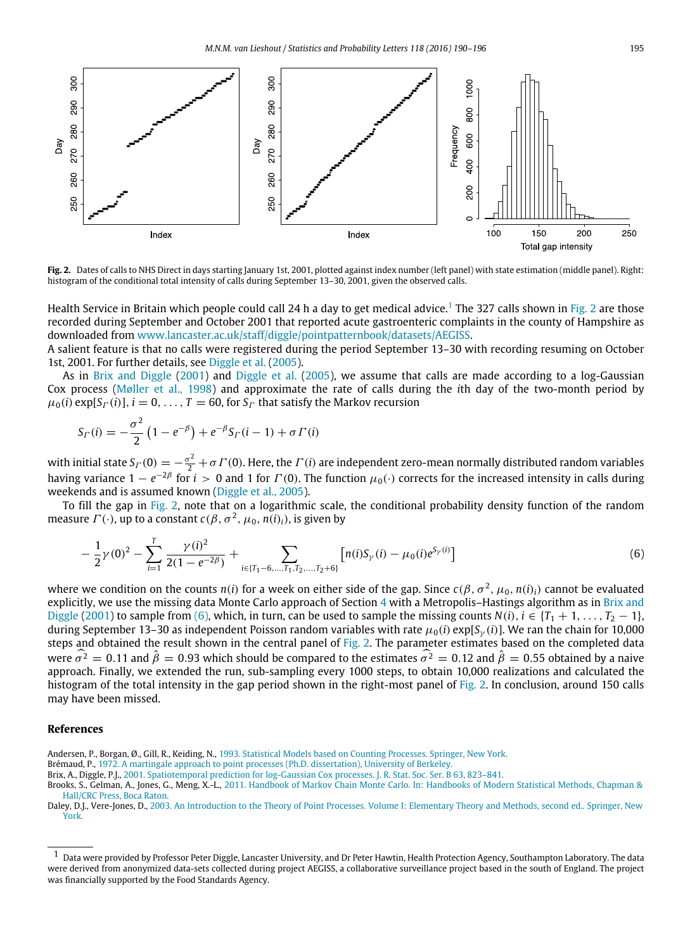<span id="page-5-5"></span>

**Fig. 2.** Dates of calls to NHS Direct in days starting January 1st, 2001, plotted against index number (left panel) with state estimation (middle panel). Right: histogram of the conditional total intensity of calls during September 13-30, 2001, given the observed calls.

Health Service in Britain which people could call 24 h a day to get medical advice.<sup>[1](#page-5-4)</sup> The 327 calls shown in [Fig. 2](#page-5-5) are those recorded during September and October 2001 that reported acute gastroenteric complaints in the county of Hampshire as downloaded from [www.lancaster.ac.uk/staff/diggle/pointpatternbook/datasets/AEGISS.](http://www.lancaster.ac.uk/staff/diggle/pointpatternbook/datasets/AEGISS)

A salient feature is that no calls were registered during the period September 13–30 with recording resuming on October 1st, 2001. For further details, see [Diggle](#page-6-12) [et al.](#page-6-12) [\(2005\)](#page-6-12).

As in [Brix](#page-5-6) [and](#page-5-6) [Diggle](#page-5-6) [\(2001\)](#page-5-6) and [Diggle](#page-6-12) [et al.](#page-6-12) [\(2005\)](#page-6-12), we assume that calls are made according to a log-Gaussian Cox process [\(Møller](#page-6-13) [et al.,](#page-6-13) [1998\)](#page-6-13) and approximate the rate of calls during the *i*th day of the two-month period by  $\mu_0(i)$  exp[S<sub> $\Gamma$ </sub>(*i*)],  $i = 0, \ldots, T = 60$ , for S<sub> $\Gamma$ </sub> that satisfy the Markov recursion

$$
S_{\Gamma}(i) = -\frac{\sigma^2}{2} (1 - e^{-\beta}) + e^{-\beta} S_{\Gamma}(i - 1) + \sigma \Gamma(i)
$$

with initial state  $S_{\Gamma}(0)=-\frac{\sigma^2}{2}+\sigma\Gamma(0)$ . Here, the  $\Gamma(i)$  are independent zero-mean normally distributed random variables having variance  $1-e^{-2\beta}$  for  $i>0$  and 1 for  $\Gamma(0)$ . The function  $\mu_0(\cdot)$  corrects for the increased intensity in calls during weekends and is assumed known [\(Diggle](#page-6-12) [et al.,](#page-6-12) [2005\)](#page-6-12).

To fill the gap in [Fig. 2,](#page-5-5) note that on a logarithmic scale, the conditional probability density function of the random measure  $\Gamma(\cdot)$ , up to a constant  $c(\beta, \sigma^2, \mu_0, n(i)_i)$ , is given by

<span id="page-5-7"></span>
$$
-\frac{1}{2}\gamma(0)^2 - \sum_{i=1}^T \frac{\gamma(i)^2}{2(1 - e^{-2\beta})} + \sum_{i \in \{T_1 - 6, \dots, T_1, T_2, \dots, T_2 + 6\}} \left[n(i)S_\gamma(i) - \mu_0(i)e^{S_\gamma(i)}\right]
$$
(6)

where we condition on the counts  $n(i)$  for a week on either side of the gap. Since  $c(\beta, \sigma^2, \mu_0, n(i)_i)$  cannot be evaluated explicitly, we use the missing data Monte Carlo approach of Section [4](#page-3-0) with a Metropolis–Hastings algorithm as in [Brix](#page-5-6) [and](#page-5-6) [Diggle](#page-5-6) [\(2001\)](#page-5-6) to sample from [\(6\),](#page-5-7) which, in turn, can be used to sample the missing counts  $N(i)$ ,  $i \in \{T_1 + 1, \ldots, T_2 - 1\}$ , during September 13–30 as independent Poisson random variables with rate  $\mu_0(i)$  exp[*S<sub>γ</sub>(i)*]. We ran the chain for 10,000 steps and obtained the result shown in the central panel of [Fig. 2.](#page-5-5) The parameter estimates based on the completed data were  $\widehat{\sigma}^2 = 0.11$  and  $\widehat{\beta} = 0.93$  which should be compared to the estimates  $\widehat{\sigma}^2 = 0.12$  and  $\widehat{\beta} = 0.55$  obtained by a naive approach. Finally, we extended the run, sub-sampling every 1000 steps, to obtain 10,000 realizations and calculated the histogram of the total intensity in the gap period shown in the right-most panel of [Fig. 2.](#page-5-5) In conclusion, around 150 calls may have been missed.

#### **References**

- <span id="page-5-2"></span>Andersen, P., Borgan, Ø., Gill, R., Keiding, N., [1993. Statistical Models based on Counting Processes. Springer, New York.](http://refhub.elsevier.com/S0167-7152(16)30118-3/sbref1)
- <span id="page-5-0"></span>Brémaud, P., [1972. A martingale approach to point processes \(Ph.D. dissertation\), University of Berkeley.](http://refhub.elsevier.com/S0167-7152(16)30118-3/sbref2)

<span id="page-5-6"></span>Brix, A., Diggle, P.J., [2001. Spatiotemporal prediction for log-Gaussian Cox processes. J. R. Stat. Soc. Ser. B 63, 823–841.](http://refhub.elsevier.com/S0167-7152(16)30118-3/sbref3)

<span id="page-5-3"></span>Brooks, S., Gelman, A., Jones, G., Meng, X.-L., [2011. Handbook of Markov Chain Monte Carlo. In: Handbooks of Modern Statistical Methods, Chapman &](http://refhub.elsevier.com/S0167-7152(16)30118-3/sbref4) Hall/CRC Press, Boca Raton.

<span id="page-5-1"></span>Daley, D.J., Vere-Jones, D., [2003. An Introduction to the Theory of Point Processes. Volume I: Elementary Theory and Methods, second ed.. Springer, New](http://refhub.elsevier.com/S0167-7152(16)30118-3/sbref5) York.

<span id="page-5-4"></span><sup>1</sup> Data were provided by Professor Peter Diggle, Lancaster University, and Dr Peter Hawtin, Health Protection Agency, Southampton Laboratory. The data were derived from anonymized data-sets collected during project AEGISS, a collaborative surveillance project based in the south of England. The project was financially supported by the Food Standards Agency.